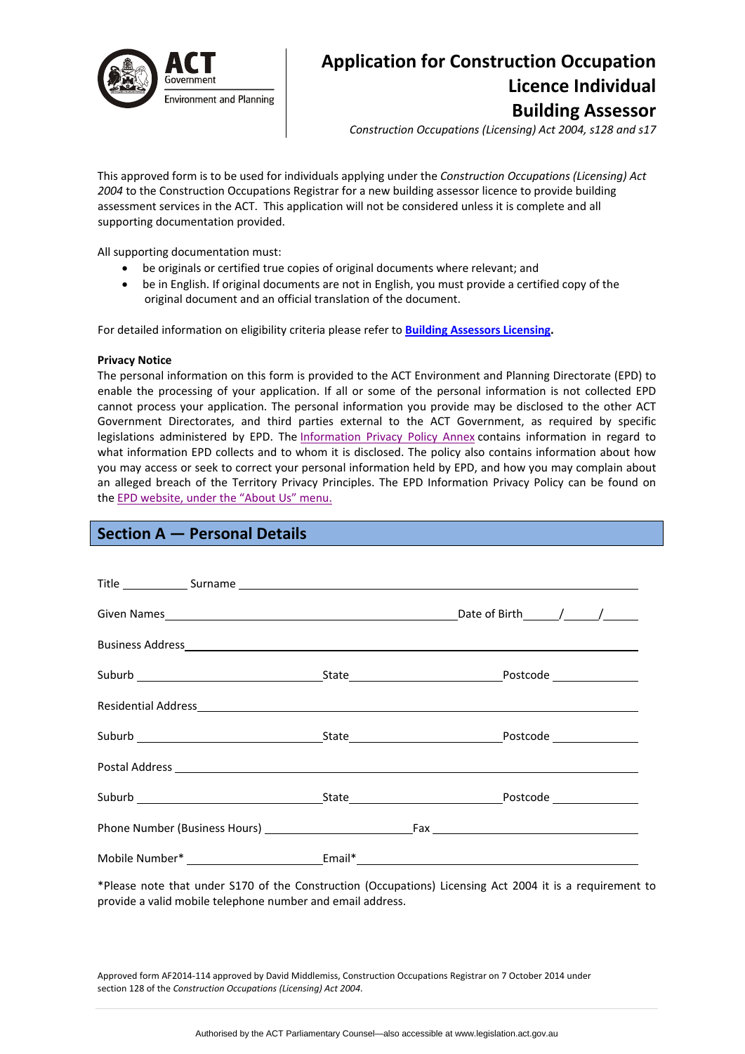

# **Application for Construction Occupation Licence Individual Building Assessor**

*Construction Occupations (Licensing) Act 2004, s128 and s17*

This approved form is to be used for individuals applying under the *Construction Occupations (Licensing) Act 2004* to the Construction Occupations Registrar for a new building assessor licence to provide building assessment services in the ACT. This application will not be considered unless it is complete and all supporting documentation provided.

All supporting documentation must:

- be originals or certified true copies of original documents where relevant; and
- be in English. If original documents are not in English, you must provide a certified copy of the original document and an official translation of the document.

For detailed information on eligibility criteria please refer to **Building [Assessors](http://www.actpla.act.gov.au/topics/hiring_licensing/licence_registration/energy_assessors) Licensing.** 

#### **Privacy Notice**

The personal information on this form is provided to the ACT Environment and Planning Directorate (EPD) to enable the processing of your application. If all or some of the personal information is not collected EPD cannot process your application. The personal information you provide may be disclosed to the other ACT Government Directorates, and third parties external to the ACT Government, as required by specific legislations administered by EPD. The [Information](http://www.environment.act.gov.au/__data/assets/pdf_file/0006/633741/Information-Privacy-Policy-Annex.pdf) Privacy Policy Annex contains information in regard to what information EPD collects and to whom it is disclosed. The policy also contains information about how you may access or seek to correct your personal information held by EPD, and how you may complain about an alleged breach of the Territory Privacy Principles. The EPD Information Privacy Policy can be found on the EPD [website,](http://www.environment.act.gov.au/about/privacy) under the "About Us" menu.

# **Section A — Personal Details**

\*Please note that under S170 of the Construction (Occupations) Licensing Act 2004 it is a requirement to provide a valid mobile telephone number and email address.

Approved form AF2014‐114 approved by David Middlemiss, Construction Occupations Registrar on 7 October 2014 under section 128 of the *Construction Occupations (Licensing) Act 2004*.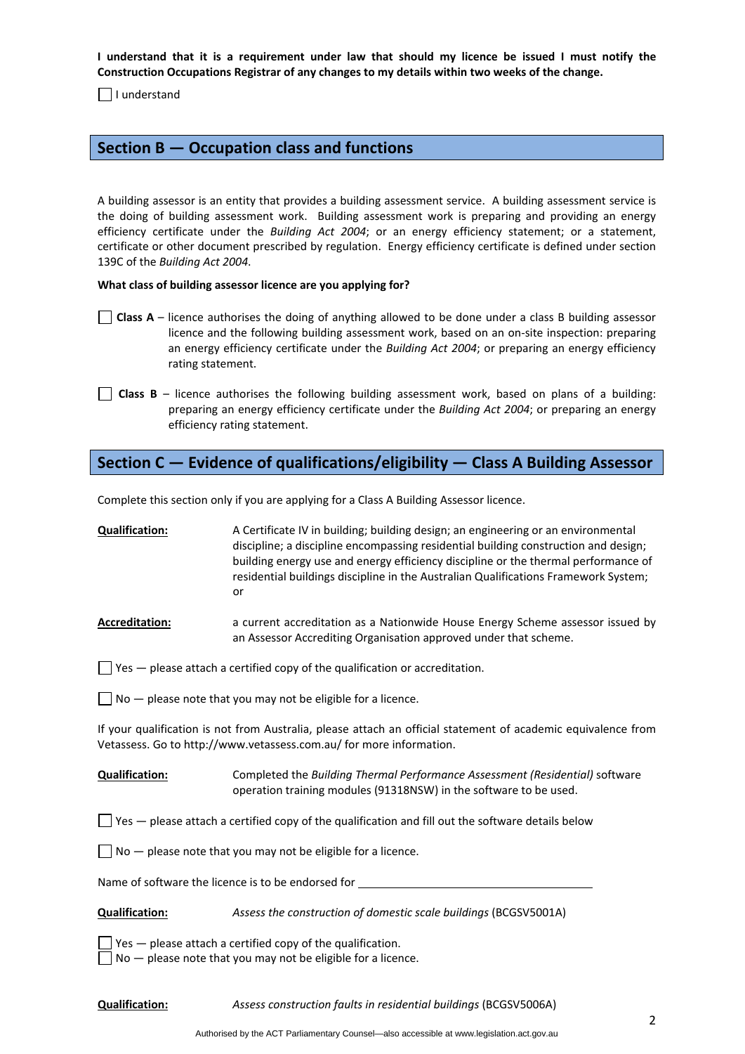I understand that it is a requirement under law that should my licence be issued I must notify the **Construction Occupations Registrar of any changes to my details within two weeks of the change.** 

 $\Box$  I understand

### **Section B — Occupation class and functions**

A building assessor is an entity that provides a building assessment service. A building assessment service is the doing of building assessment work. Building assessment work is preparing and providing an energy efficiency certificate under the *Building Act 2004*; or an energy efficiency statement; or a statement, certificate or other document prescribed by regulation. Energy efficiency certificate is defined under section 139C of the *Building Act 2004*.

#### **What class of building assessor licence are you applying for?**

- **Class A** licence authorises the doing of anything allowed to be done under a class B building assessor licence and the following building assessment work, based on an on‐site inspection: preparing an energy efficiency certificate under the *Building Act 2004*; or preparing an energy efficiency rating statement.
- **Class**  $B$  licence authorises the following building assessment work, based on plans of a building: preparing an energy efficiency certificate under the *Building Act 2004*; or preparing an energy efficiency rating statement.

# **Section C — Evidence of qualifications/eligibility — Class A Building Assessor**

Complete this section only if you are applying for a Class A Building Assessor licence.

| A Certificate IV in building; building design; an engineering or an environmental                                                                                         |
|---------------------------------------------------------------------------------------------------------------------------------------------------------------------------|
| discipline; a discipline encompassing residential building construction and design;                                                                                       |
| building energy use and energy efficiency discipline or the thermal performance of<br>residential buildings discipline in the Australian Qualifications Framework System; |
| or                                                                                                                                                                        |
|                                                                                                                                                                           |

#### Accreditation: **Accreditation:** a current accreditation as a Nationwide House Energy Scheme assessor issued by an Assessor Accrediting Organisation approved under that scheme.

 $\Box$  Yes  $-$  please attach a certified copy of the qualification or accreditation.

 $\Box$  No  $-$  please note that you may not be eligible for a licence.

If your qualification is not from Australia, please attach an official statement of academic equivalence from Vetassess. Go to http://www.vetassess.com.au/ for more information.

#### **Qualification:** Completed the *Building Thermal Performance Assessment (Residential)* software operation training modules (91318NSW) in the software to be used.

 $\Box$  Yes — please attach a certified copy of the qualification and fill out the software details below

 $\Box$  No  $-$  please note that you may not be eligible for a licence.

Name of software the licence is to be endorsed for

**Qualification:** *Assess the construction of domestic scale buildings* (BCGSV5001A)

 $\Box$  Yes  $-$  please attach a certified copy of the qualification.

 $\Box$  No  $-$  please note that you may not be eligible for a licence.

**Qualification:** *Assess construction faults in residential buildings* (BCGSV5006A)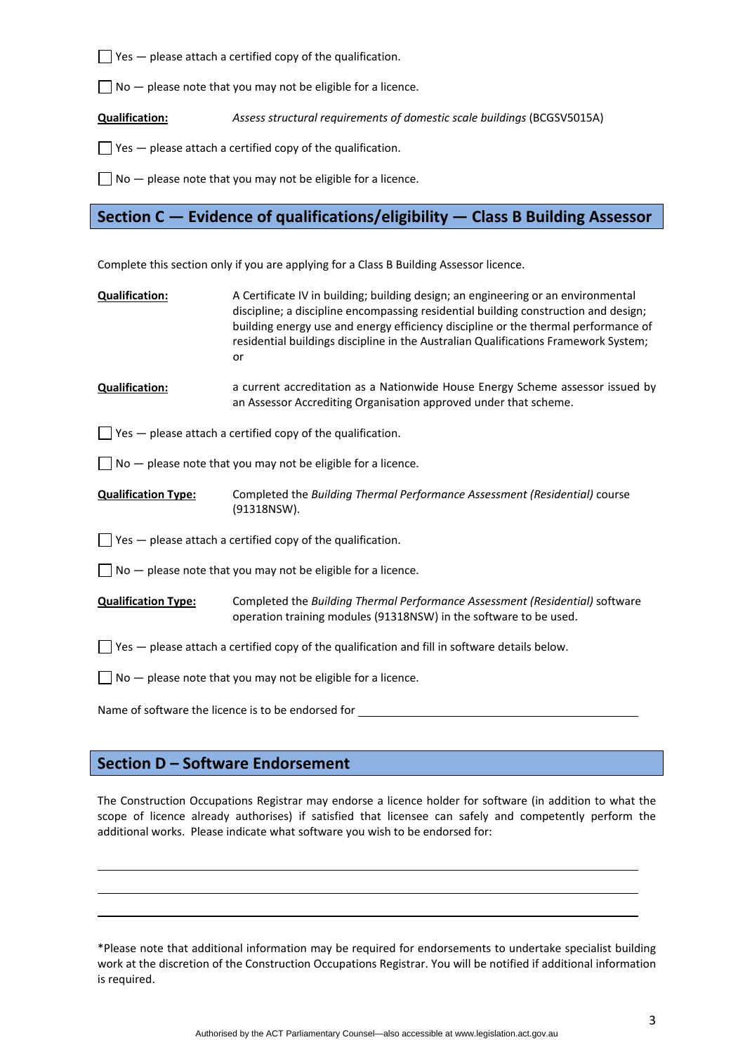$\Box$  Yes  $-$  please attach a certified copy of the qualification.

 $\Box$  No  $-$  please note that you may not be eligible for a licence.

**Qualification:** *Assess structural requirements of domestic scale buildings* (BCGSV5015A)

 $\Box$  Yes  $-$  please attach a certified copy of the qualification.

 $\Box$  No  $-$  please note that you may not be eligible for a licence.

# **Section C — Evidence of qualifications/eligibility — Class B Building Assessor**

Complete this section only if you are applying for a Class B Building Assessor licence.

**Qualification:** A Certificate IV in building; building design; an engineering or an environmental discipline; a discipline encompassing residential building construction and design; building energy use and energy efficiency discipline or the thermal performance of residential buildings discipline in the Australian Qualifications Framework System; or

**Qualification: a** current accreditation as a Nationwide House Energy Scheme assessor issued by an Assessor Accrediting Organisation approved under that scheme.

 $\Box$  Yes  $-$  please attach a certified copy of the qualification.

 $\Box$  No  $-$  please note that you may not be eligible for a licence.

**Qualification Type:** Completed the *Building Thermal Performance Assessment (Residential)* course (91318NSW).

 $\Box$  Yes  $-$  please attach a certified copy of the qualification.

 $\Box$  No  $-$  please note that you may not be eligible for a licence.

**Qualification Type:** Completed the *Building Thermal Performance Assessment (Residential)* software operation training modules (91318NSW) in the software to be used.

 $\Box$  Yes  $-$  please attach a certified copy of the qualification and fill in software details below.

 $\Box$  No  $-$  please note that you may not be eligible for a licence.

Name of software the licence is to be endorsed for

### **Section D – Software Endorsement**

The Construction Occupations Registrar may endorse a licence holder for software (in addition to what the scope of licence already authorises) if satisfied that licensee can safely and competently perform the additional works. Please indicate what software you wish to be endorsed for:

<u> 1989 - Johann Barbara, martxa alemaniar argametra (h. 1989).</u> <u> 1989 - Johann Barbara, martxa alemaniar argametra (h. 1989).</u>

\*Please note that additional information may be required for endorsements to undertake specialist building work at the discretion of the Construction Occupations Registrar. You will be notified if additional information is required.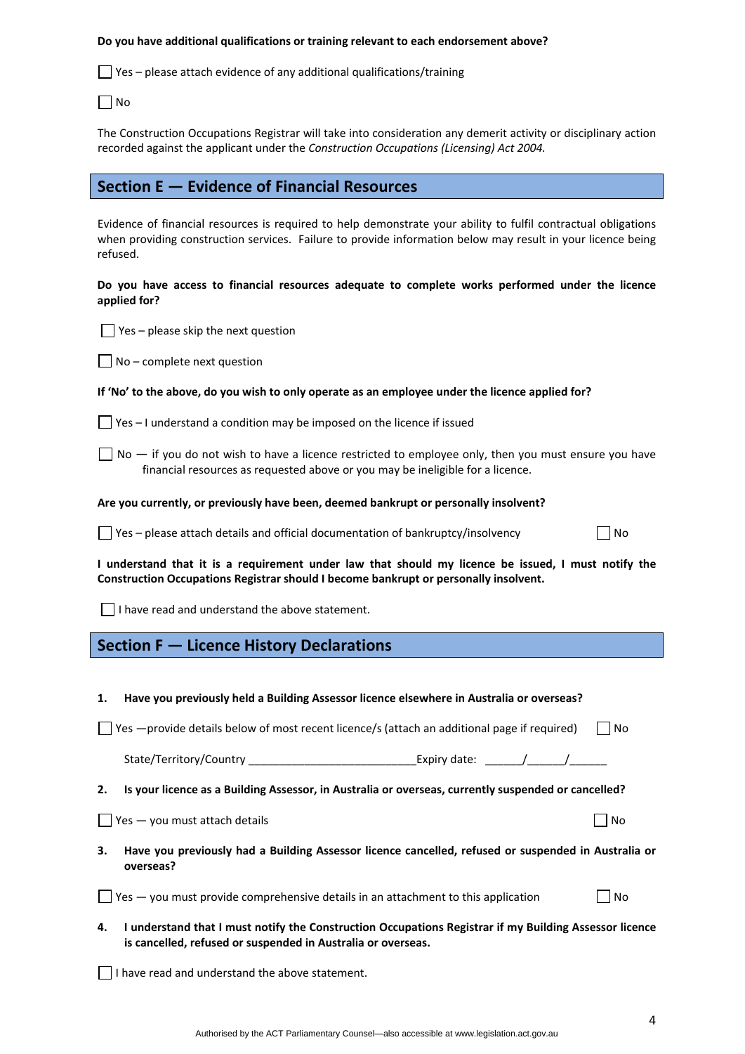#### **Do you have additional qualifications or training relevant to each endorsement above?**

 $\Box$  Yes – please attach evidence of any additional qualifications/training

 $\Box$ No

The Construction Occupations Registrar will take into consideration any demerit activity or disciplinary action recorded against the applicant under the *Construction Occupations (Licensing) Act 2004.*

### **Section E — Evidence of Financial Resources**

Evidence of financial resources is required to help demonstrate your ability to fulfil contractual obligations when providing construction services. Failure to provide information below may result in your licence being refused.

**Do you have access to financial resources adequate to complete works performed under the licence applied for?** 

 $\Box$  Yes – please skip the next question

 $\Box$  No – complete next question

#### If 'No' to the above, do you wish to only operate as an employee under the licence applied for?

 $\Box$  Yes – I understand a condition may be imposed on the licence if issued

 $\Box$  No  $-$  if you do not wish to have a licence restricted to employee only, then you must ensure you have financial resources as requested above or you may be ineligible for a licence.

#### **Are you currently, or previously have been, deemed bankrupt or personally insolvent?**

 $\Box$  Yes – please attach details and official documentation of bankruptcy/insolvency  $\Box$  No

I understand that it is a requirement under law that should my licence be issued, I must notify the **Construction Occupations Registrar should I become bankrupt or personally insolvent.** 

 $\Box$  I have read and understand the above statement.

# **Section F — Licence History Declarations**

|  | Have you previously held a Building Assessor licence elsewhere in Australia or overseas? |
|--|------------------------------------------------------------------------------------------|
|--|------------------------------------------------------------------------------------------|

 $\Box$  Yes  $-$ provide details below of most recent licence/s (attach an additional page if required)  $\Box$  No

| State/Territory/Country | Expiry date: |  |  |
|-------------------------|--------------|--|--|
|-------------------------|--------------|--|--|

**2. Is your licence as a Building Assessor, in Australia or overseas, currently suspended or cancelled?** 

 $\Box$  Yes  $-$  you must attach details  $\Box$  No

**3. Have you previously had a Building Assessor licence cancelled, refused or suspended in Australia or overseas?** 

 $\Box$  Yes — you must provide comprehensive details in an attachment to this application  $\Box$  No

**4. I understand that I must notify the Construction Occupations Registrar if my Building Assessor licence is cancelled, refused or suspended in Australia or overseas.** 

 $\Box$  I have read and understand the above statement.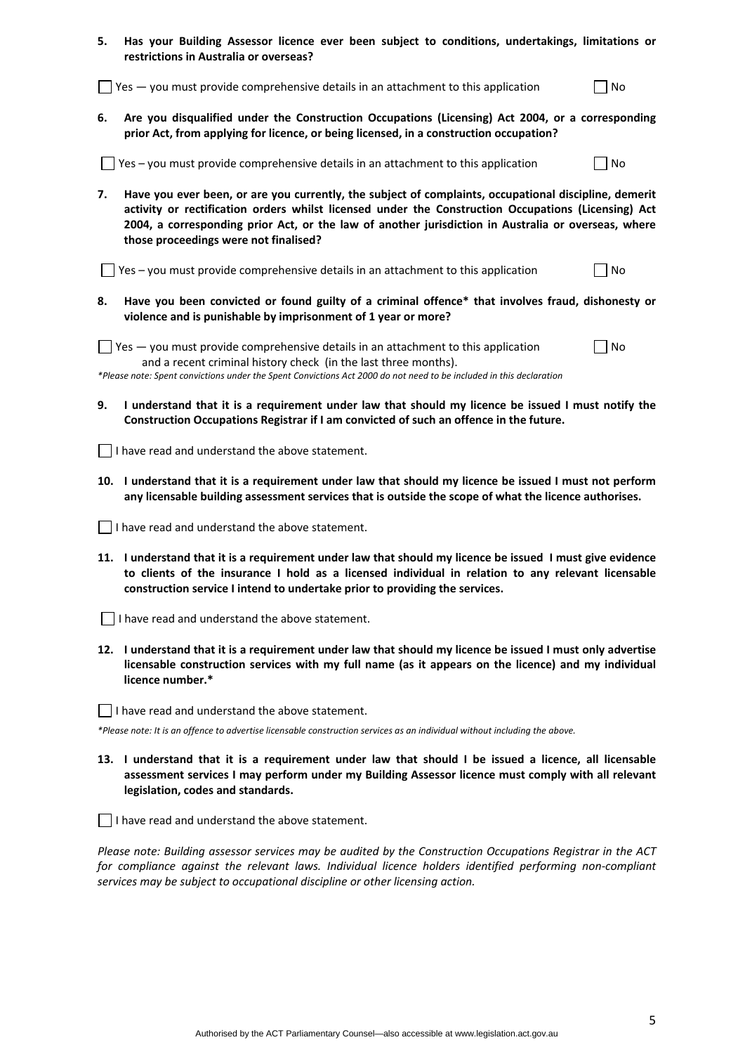| 5. Has your Building Assessor licence ever been subject to conditions, undertakings, limitations or |
|-----------------------------------------------------------------------------------------------------|
| restrictions in Australia or overseas?                                                              |

 $\Box$  Yes — you must provide comprehensive details in an attachment to this application  $\Box$  No

**6. Are you disqualified under the Construction Occupations (Licensing) Act 2004, or a corresponding prior Act, from applying for licence, or being licensed, in a construction occupation?** 

 $\Box$  Yes – you must provide comprehensive details in an attachment to this application  $\Box$  No

**7. Have you ever been, or are you currently, the subject of complaints, occupational discipline, demerit activity or rectification orders whilst licensed under the Construction Occupations (Licensing) Act 2004, a corresponding prior Act, or the law of another jurisdiction in Australia or overseas, where those proceedings were not finalised?** 

 $\Box$  Yes – you must provide comprehensive details in an attachment to this application  $\Box$  No

**8. Have you been convicted or found guilty of a criminal offence\* that involves fraud, dishonesty or violence and is punishable by imprisonment of 1 year or more?** 

 $\Box$  Yes — you must provide comprehensive details in an attachment to this application  $\Box$  No and a recent criminal history check (in the last three months).

\*Please note: Spent convictions under the Spent Convictions Act 2000 do not need to be included in this declaration

9. I understand that it is a requirement under law that should my licence be issued I must notify the **Construction Occupations Registrar if I am convicted of such an offence in the future.** 

I have read and understand the above statement.

10. I understand that it is a requirement under law that should my licence be issued I must not perform **any licensable building assessment services that is outside the scope of what the licence authorises.** 

I have read and understand the above statement.

11. I understand that it is a requirement under law that should my licence be issued I must give evidence **to clients of the insurance I hold as a licensed individual in relation to any relevant licensable construction service I intend to undertake prior to providing the services.** 

 $\Box$  I have read and understand the above statement.

12. I understand that it is a requirement under law that should my licence be issued I must only advertise **licensable construction services with my full name (as it appears on the licence) and my individual licence number.\*** 

 $\Box$  I have read and understand the above statement.

\*Please note: It is an offence to advertise licensable construction services as an individual without including the above.

13. I understand that it is a requirement under law that should I be issued a licence, all licensable **assessment services I may perform under my Building Assessor licence must comply with all relevant legislation, codes and standards.** 

 $\Box$  I have read and understand the above statement.

*Please note: Building assessor services may be audited by the Construction Occupations Registrar in the ACT for compliance against the relevant laws. Individual licence holders identified performing non‐compliant services may be subject to occupational discipline or other licensing action.*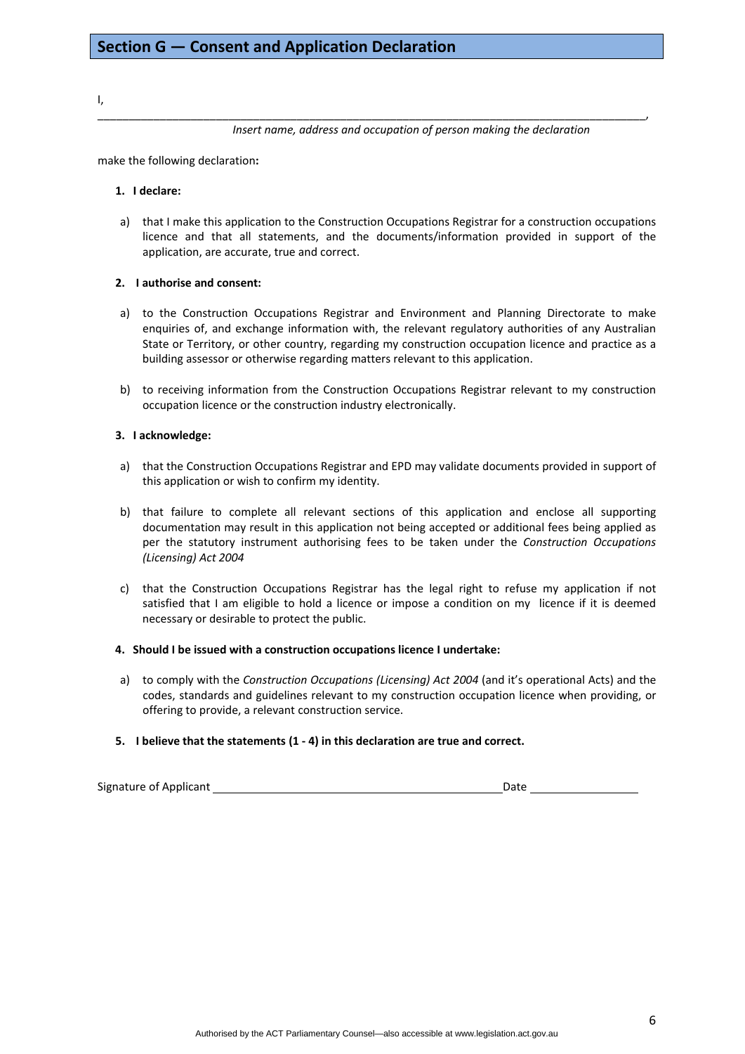I,

*Insert name, address and occupation of person making the declaration*

make the following declaration**:**

#### **1. I declare:**

a) that I make this application to the Construction Occupations Registrar for a construction occupations licence and that all statements, and the documents/information provided in support of the application, are accurate, true and correct.

\_\_\_\_\_\_\_\_\_\_\_\_\_\_\_\_\_\_\_\_\_\_\_\_\_\_\_\_\_\_\_\_\_\_\_\_\_\_\_\_\_\_\_\_\_\_\_\_\_\_\_\_\_\_\_\_\_\_\_\_\_\_\_\_\_\_\_\_\_\_\_\_\_\_\_\_\_\_\_\_\_\_\_\_\_\_\_\_,

#### **2. I authorise and consent:**

- a) to the Construction Occupations Registrar and Environment and Planning Directorate to make enquiries of, and exchange information with, the relevant regulatory authorities of any Australian State or Territory, or other country, regarding my construction occupation licence and practice as a building assessor or otherwise regarding matters relevant to this application.
- b) to receiving information from the Construction Occupations Registrar relevant to my construction occupation licence or the construction industry electronically.

#### **3. I acknowledge:**

- a) that the Construction Occupations Registrar and EPD may validate documents provided in support of this application or wish to confirm my identity.
- b) that failure to complete all relevant sections of this application and enclose all supporting documentation may result in this application not being accepted or additional fees being applied as per the statutory instrument authorising fees to be taken under the *Construction Occupations (Licensing) Act 2004*
- c) that the Construction Occupations Registrar has the legal right to refuse my application if not satisfied that I am eligible to hold a licence or impose a condition on my licence if it is deemed necessary or desirable to protect the public.

#### **4. Should I be issued with a construction occupations licence I undertake:**

a) to comply with the *Construction Occupations (Licensing) Act 2004* (and it's operational Acts) and the codes, standards and guidelines relevant to my construction occupation licence when providing, or offering to provide, a relevant construction service.

#### **5. I believe that the statements (1 ‐ 4) in this declaration are true and correct.**

Signature of Applicant *Date*